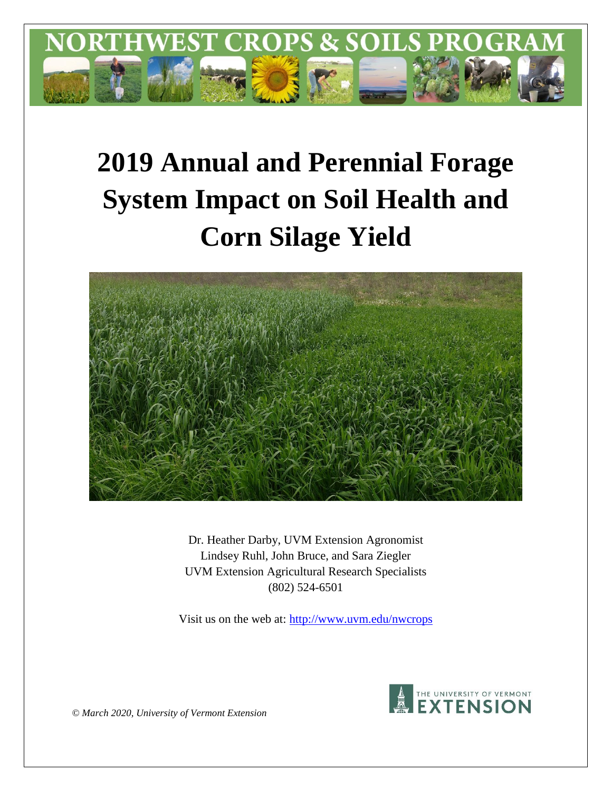

# **2019 Annual and Perennial Forage System Impact on Soil Health and Corn Silage Yield**



Dr. Heather Darby, UVM Extension Agronomist Lindsey Ruhl, John Bruce, and Sara Ziegler UVM Extension Agricultural Research Specialists (802) 524-6501

Visit us on the web at:<http://www.uvm.edu/nwcrops>



*© March 2020, University of Vermont Extension*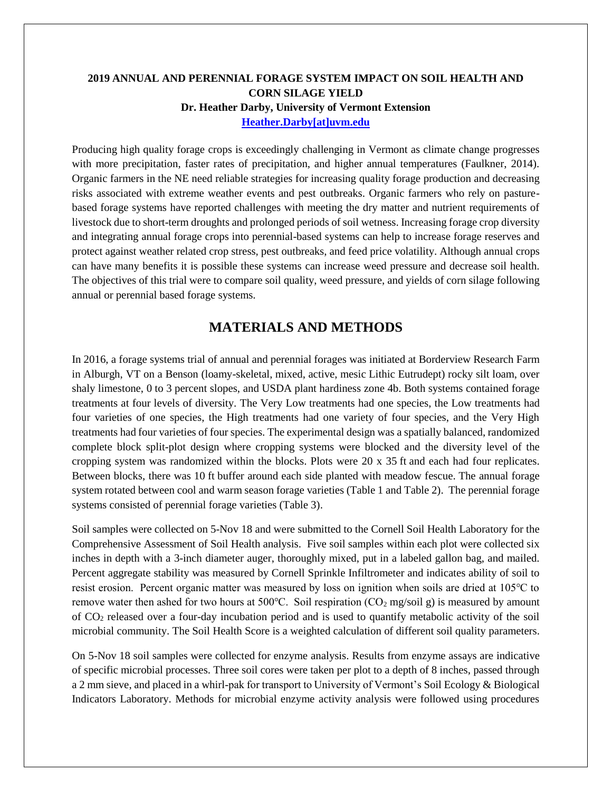# **2019 ANNUAL AND PERENNIAL FORAGE SYSTEM IMPACT ON SOIL HEALTH AND CORN SILAGE YIELD Dr. Heather Darby, University of Vermont Extension [Heather.Darby\[at\]uvm.edu](mailto:heather.darby@uvm.edu?subject=2012%20Forage%20Brassica%20Report)**

Producing high quality forage crops is exceedingly challenging in Vermont as climate change progresses with more precipitation, faster rates of precipitation, and higher annual temperatures (Faulkner, 2014). Organic farmers in the NE need reliable strategies for increasing quality forage production and decreasing risks associated with extreme weather events and pest outbreaks. Organic farmers who rely on pasturebased forage systems have reported challenges with meeting the dry matter and nutrient requirements of livestock due to short-term droughts and prolonged periods of soil wetness. Increasing forage crop diversity and integrating annual forage crops into perennial-based systems can help to increase forage reserves and protect against weather related crop stress, pest outbreaks, and feed price volatility. Although annual crops can have many benefits it is possible these systems can increase weed pressure and decrease soil health. The objectives of this trial were to compare soil quality, weed pressure, and yields of corn silage following annual or perennial based forage systems.

# **MATERIALS AND METHODS**

In 2016, a forage systems trial of annual and perennial forages was initiated at Borderview Research Farm in Alburgh, VT on a Benson (loamy-skeletal, mixed, active, mesic Lithic Eutrudept) rocky silt loam, over shaly limestone, 0 to 3 percent slopes, and USDA plant hardiness zone 4b. Both systems contained forage treatments at four levels of diversity. The Very Low treatments had one species, the Low treatments had four varieties of one species, the High treatments had one variety of four species, and the Very High treatments had four varieties of four species. The experimental design was a spatially balanced, randomized complete block split-plot design where cropping systems were blocked and the diversity level of the cropping system was randomized within the blocks. Plots were 20 x 35 ft and each had four replicates. Between blocks, there was 10 ft buffer around each side planted with meadow fescue. The annual forage system rotated between cool and warm season forage varieties (Table 1 and Table 2). The perennial forage systems consisted of perennial forage varieties (Table 3).

Soil samples were collected on 5-Nov 18 and were submitted to the Cornell Soil Health Laboratory for the Comprehensive Assessment of Soil Health analysis. Five soil samples within each plot were collected six inches in depth with a 3-inch diameter auger, thoroughly mixed, put in a labeled gallon bag, and mailed. Percent aggregate stability was measured by Cornell Sprinkle Infiltrometer and indicates ability of soil to resist erosion. Percent organic matter was measured by loss on ignition when soils are dried at 105℃ to remove water then ashed for two hours at 500 °C. Soil respiration ( $CO<sub>2</sub>$  mg/soil g) is measured by amount of CO<sup>2</sup> released over a four-day incubation period and is used to quantify metabolic activity of the soil microbial community. The Soil Health Score is a weighted calculation of different soil quality parameters.

On 5-Nov 18 soil samples were collected for enzyme analysis. Results from enzyme assays are indicative of specific microbial processes. Three soil cores were taken per plot to a depth of 8 inches, passed through a 2 mm sieve, and placed in a whirl-pak for transport to University of Vermont's Soil Ecology & Biological Indicators Laboratory. Methods for microbial enzyme activity analysis were followed using procedures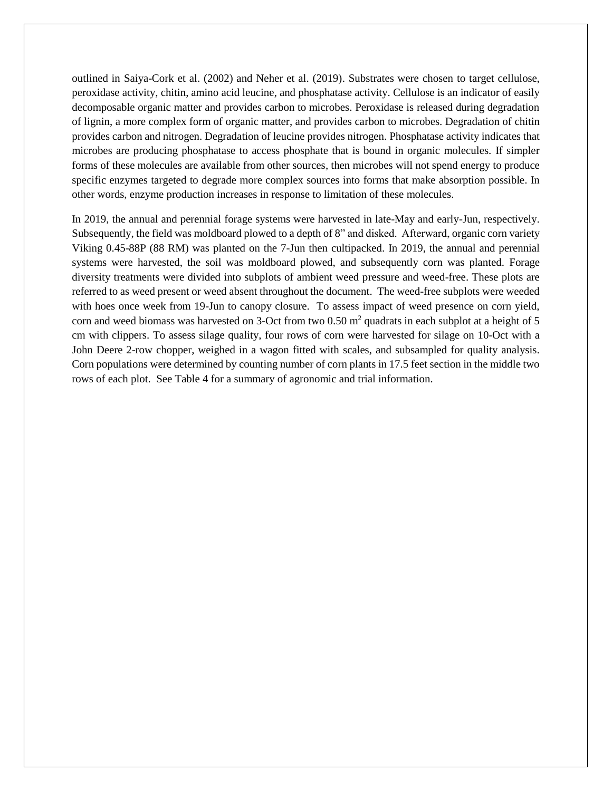outlined in Saiya-Cork et al. (2002) and Neher et al. (2019). Substrates were chosen to target cellulose, peroxidase activity, chitin, amino acid leucine, and phosphatase activity. Cellulose is an indicator of easily decomposable organic matter and provides carbon to microbes. Peroxidase is released during degradation of lignin, a more complex form of organic matter, and provides carbon to microbes. Degradation of chitin provides carbon and nitrogen. Degradation of leucine provides nitrogen. Phosphatase activity indicates that microbes are producing phosphatase to access phosphate that is bound in organic molecules. If simpler forms of these molecules are available from other sources, then microbes will not spend energy to produce specific enzymes targeted to degrade more complex sources into forms that make absorption possible. In other words, enzyme production increases in response to limitation of these molecules.

In 2019, the annual and perennial forage systems were harvested in late-May and early-Jun, respectively. Subsequently, the field was moldboard plowed to a depth of 8" and disked. Afterward, organic corn variety Viking 0.45-88P (88 RM) was planted on the 7-Jun then cultipacked. In 2019, the annual and perennial systems were harvested, the soil was moldboard plowed, and subsequently corn was planted. Forage diversity treatments were divided into subplots of ambient weed pressure and weed-free. These plots are referred to as weed present or weed absent throughout the document. The weed-free subplots were weeded with hoes once week from 19-Jun to canopy closure. To assess impact of weed presence on corn yield, corn and weed biomass was harvested on 3-Oct from two  $0.50 \text{ m}^2$  quadrats in each subplot at a height of 5 cm with clippers. To assess silage quality, four rows of corn were harvested for silage on 10-Oct with a John Deere 2-row chopper, weighed in a wagon fitted with scales, and subsampled for quality analysis. Corn populations were determined by counting number of corn plants in 17.5 feet section in the middle two rows of each plot. See Table 4 for a summary of agronomic and trial information.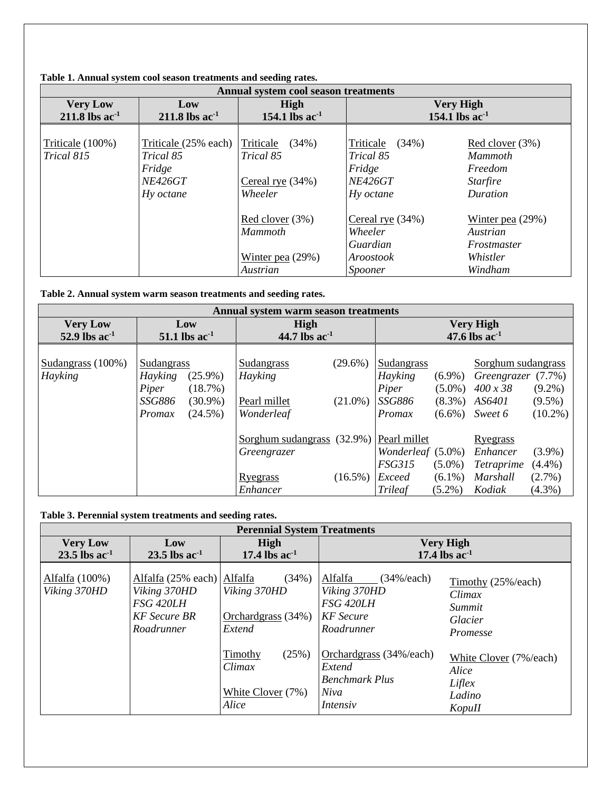|                                                 | Annual system cool season treatments                                                 |                                                                     |                                                                          |                                                                        |  |  |  |  |
|-------------------------------------------------|--------------------------------------------------------------------------------------|---------------------------------------------------------------------|--------------------------------------------------------------------------|------------------------------------------------------------------------|--|--|--|--|
| <b>Very Low</b><br>$211.8$ lbs ac <sup>-1</sup> | Low<br>$211.8$ lbs ac <sup>-1</sup>                                                  | High<br>154.1 lbs $ac^{-1}$                                         | <b>Very High</b><br>154.1 lbs $ac^{-1}$                                  |                                                                        |  |  |  |  |
|                                                 |                                                                                      |                                                                     |                                                                          |                                                                        |  |  |  |  |
| Triticale (100%)<br>Trical 815                  | Triticale (25% each) Triticale<br>Trical 85<br>Fridge<br><b>NE426GT</b><br>Hy octane | (34%)<br>Trical 85<br>Cereal rye $(34%)$<br>Wheeler                 | Triticale<br>(34%)<br>Trical 85<br>Fridge<br><b>NE426GT</b><br>Hy octane | Red clover $(3%)$<br>Mammoth<br>Freedom<br><b>Starfire</b><br>Duration |  |  |  |  |
|                                                 |                                                                                      | Red clover (3%)<br><b>Mammoth</b><br>Winter pea $(29%)$<br>Austrian | Cereal rye $(34%)$<br>Wheeler<br>Guardian<br>Aroostook<br>Spooner        | Winter pea $(29%)$<br>Austrian<br>Frostmaster<br>Whistler<br>Windham   |  |  |  |  |

#### **Table 1. Annual system cool season treatments and seeding rates.**

# **Table 2. Annual system warm season treatments and seeding rates.**

|                                       | Annual system warm season treatments |                                                                      |            |                   |           |                    |            |  |
|---------------------------------------|--------------------------------------|----------------------------------------------------------------------|------------|-------------------|-----------|--------------------|------------|--|
| <b>Very Low</b><br>52.9 lbs $ac^{-1}$ | Low<br>51.1 lbs $ac^{-1}$            | <b>Very High</b><br>High<br>47.6 lbs $ac^{-1}$<br>44.7 lbs $ac^{-1}$ |            |                   |           |                    |            |  |
|                                       |                                      |                                                                      |            |                   |           |                    |            |  |
| Sudangrass (100%)                     | Sudangrass                           | Sudangrass                                                           | $(29.6\%)$ | Sudangrass        |           | Sorghum sudangrass |            |  |
| Hayking                               | $(25.9\%)$<br>Hayking                | Hayking                                                              |            | Hayking           | $(6.9\%)$ | Greengrazer (7.7%) |            |  |
|                                       | (18.7%)<br>Piper                     |                                                                      |            | Piper             | $(5.0\%)$ | $400 \times 38$    | $(9.2\%)$  |  |
|                                       | <i>SSG886</i><br>$(30.9\%)$          | Pearl millet                                                         | $(21.0\%)$ | <i>SSG886</i>     | $(8.3\%)$ | AS6401             | $(9.5\%)$  |  |
|                                       | $(24.5\%)$<br>Promax                 | Wonderleaf                                                           |            | Promax            | $(6.6\%)$ | Sweet 6            | $(10.2\%)$ |  |
|                                       |                                      | Sorghum sudangrass (32.9%) Pearl millet                              |            |                   |           | <u>Ryegrass</u>    |            |  |
|                                       |                                      | Greengrazer                                                          |            | Wonderleaf (5.0%) |           | Enhancer           | $(3.9\%)$  |  |
|                                       |                                      |                                                                      |            | <b>FSG315</b>     | $(5.0\%)$ | <b>Tetraprime</b>  | $(4.4\%)$  |  |
|                                       |                                      | Ryegrass                                                             | $(16.5\%)$ | Exceed            | $(6.1\%)$ | Marshall           | $(2.7\%)$  |  |
|                                       |                                      | Enhancer                                                             |            | <b>Trileaf</b>    | $(5.2\%)$ | Kodiak             | $(4.3\%)$  |  |

# **Table 3. Perennial system treatments and seeding rates.**

| <b>Perennial System Treatments</b>             |                                                                                              |                                                            |                                                                                           |                                                               |  |  |  |
|------------------------------------------------|----------------------------------------------------------------------------------------------|------------------------------------------------------------|-------------------------------------------------------------------------------------------|---------------------------------------------------------------|--|--|--|
| <b>Very Low</b><br>$23.5$ lbs ac <sup>-1</sup> | Low<br>$23.5$ lbs ac <sup>-1</sup>                                                           | High<br>17.4 lbs $ac-1$                                    | <b>Very High</b><br>17.4 lbs $ac^{-1}$                                                    |                                                               |  |  |  |
| Alfalfa (100%)<br>Viking 370HD                 | Alfalfa (25% each) Alfalfa<br>Viking 370HD<br>FSG 420LH<br><b>KF</b> Secure BR<br>Roadrunner | (34%)<br>Viking 370HD<br>Orchardgrass (34%)<br>Extend      | Alfalfa<br>$(34\% / each)$<br>Viking 370HD<br>FSG 420LH<br><b>KF</b> Secure<br>Roadrunner | Timothy (25%/each)<br>Climax<br>Summit<br>Glacier<br>Promesse |  |  |  |
|                                                |                                                                                              | (25%)<br>Timothy<br>Climax<br>White Clover $(7%)$<br>Alice | Orchardgrass (34%/each)<br>Extend<br><b>Benchmark Plus</b><br>Niva<br>Intensiv            | White Clover (7%/each)<br>Alice<br>Liflex<br>Ladino<br>KopuII |  |  |  |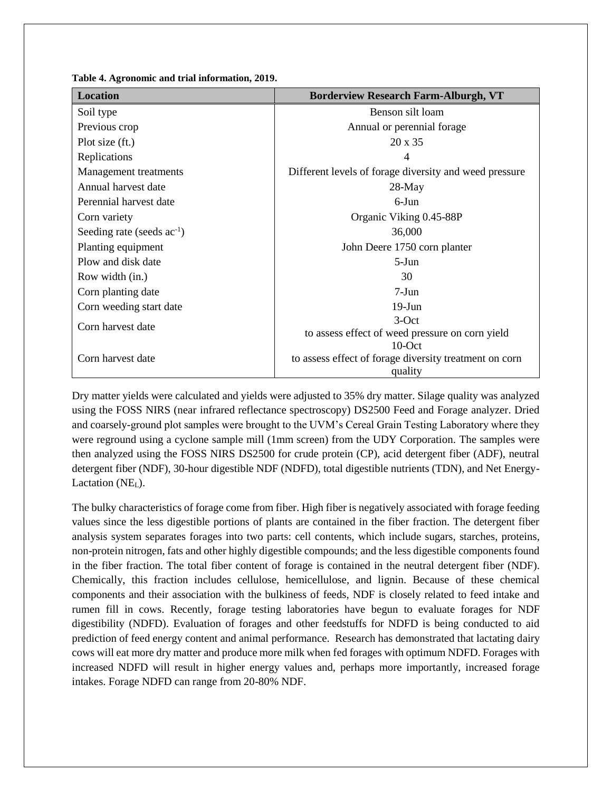**Table 4. Agronomic and trial information, 2019.**

| <b>Borderview Research Farm-Alburgh, VT</b>                       |
|-------------------------------------------------------------------|
| Benson silt loam                                                  |
| Annual or perennial forage                                        |
| $20 \times 35$                                                    |
| $\overline{4}$                                                    |
| Different levels of forage diversity and weed pressure            |
| $28$ -May                                                         |
| $6$ -Jun                                                          |
| Organic Viking 0.45-88P                                           |
| 36,000                                                            |
| John Deere 1750 corn planter                                      |
| $5-J$ un                                                          |
| 30                                                                |
| $7-Jun$                                                           |
| $19-J$ un                                                         |
| $3-Oct$                                                           |
| to assess effect of weed pressure on corn yield                   |
| $10$ -Oct                                                         |
| to assess effect of forage diversity treatment on corn<br>quality |
|                                                                   |

Dry matter yields were calculated and yields were adjusted to 35% dry matter. Silage quality was analyzed using the FOSS NIRS (near infrared reflectance spectroscopy) DS2500 Feed and Forage analyzer. Dried and coarsely-ground plot samples were brought to the UVM's Cereal Grain Testing Laboratory where they were reground using a cyclone sample mill (1mm screen) from the UDY Corporation. The samples were then analyzed using the FOSS NIRS DS2500 for crude protein (CP), acid detergent fiber (ADF), neutral detergent fiber (NDF), 30-hour digestible NDF (NDFD), total digestible nutrients (TDN), and Net Energy-Lactation (NE<sub>L</sub>).

The bulky characteristics of forage come from fiber. High fiber is negatively associated with forage feeding values since the less digestible portions of plants are contained in the fiber fraction. The detergent fiber analysis system separates forages into two parts: cell contents, which include sugars, starches, proteins, non-protein nitrogen, fats and other highly digestible compounds; and the less digestible components found in the fiber fraction. The total fiber content of forage is contained in the neutral detergent fiber (NDF). Chemically, this fraction includes cellulose, hemicellulose, and lignin. Because of these chemical components and their association with the bulkiness of feeds, NDF is closely related to feed intake and rumen fill in cows. Recently, forage testing laboratories have begun to evaluate forages for NDF digestibility (NDFD). Evaluation of forages and other feedstuffs for NDFD is being conducted to aid prediction of feed energy content and animal performance. Research has demonstrated that lactating dairy cows will eat more dry matter and produce more milk when fed forages with optimum NDFD. Forages with increased NDFD will result in higher energy values and, perhaps more importantly, increased forage intakes. Forage NDFD can range from 20-80% NDF.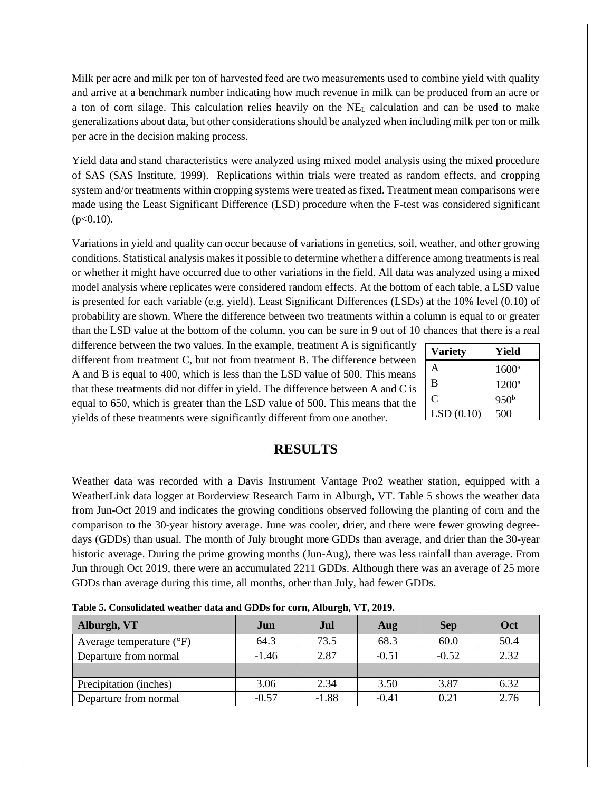Milk per acre and milk per ton of harvested feed are two measurements used to combine yield with quality and arrive at a benchmark number indicating how much revenue in milk can be produced from an acre or a ton of corn silage. This calculation relies heavily on the  $NE<sub>L</sub>$  calculation and can be used to make generalizations about data, but other considerations should be analyzed when including milk per ton or milk per acre in the decision making process.

Yield data and stand characteristics were analyzed using mixed model analysis using the mixed procedure of SAS (SAS Institute, 1999). Replications within trials were treated as random effects, and cropping system and/or treatments within cropping systems were treated as fixed. Treatment mean comparisons were made using the Least Significant Difference (LSD) procedure when the F-test was considered significant  $(p<0.10)$ .

Variations in yield and quality can occur because of variations in genetics, soil, weather, and other growing conditions. Statistical analysis makes it possible to determine whether a difference among treatments is real or whether it might have occurred due to other variations in the field. All data was analyzed using a mixed model analysis where replicates were considered random effects. At the bottom of each table, a LSD value is presented for each variable (e.g. yield). Least Significant Differences (LSDs) at the 10% level (0.10) of probability are shown. Where the difference between two treatments within a column is equal to or greater than the LSD value at the bottom of the column, you can be sure in 9 out of 10 chances that there is a real

difference between the two values. In the example, treatment A is significantly different from treatment C, but not from treatment B. The difference between A and B is equal to 400, which is less than the LSD value of 500. This means that these treatments did not differ in yield. The difference between A and C is equal to 650, which is greater than the LSD value of 500. This means that the yields of these treatments were significantly different from one another.

| <b>Variety</b> | Yield            |
|----------------|------------------|
| A              | $1600^{\circ}$   |
| B              | $1200^{\rm a}$   |
| C              | 950 <sup>b</sup> |
| LSD(0.10)      | 500              |

# **RESULTS**

Weather data was recorded with a Davis Instrument Vantage Pro2 weather station, equipped with a WeatherLink data logger at Borderview Research Farm in Alburgh, VT. Table 5 shows the weather data from Jun-Oct 2019 and indicates the growing conditions observed following the planting of corn and the comparison to the 30-year history average. June was cooler, drier, and there were fewer growing degreedays (GDDs) than usual. The month of July brought more GDDs than average, and drier than the 30-year historic average. During the prime growing months (Jun-Aug), there was less rainfall than average. From Jun through Oct 2019, there were an accumulated 2211 GDDs. Although there was an average of 25 more GDDs than average during this time, all months, other than July, had fewer GDDs.

| Table 5. Consolidated weather data and GDDs for Corn, Alburgh, V 1, 2012. |         |            |         |            |      |  |  |  |
|---------------------------------------------------------------------------|---------|------------|---------|------------|------|--|--|--|
| Alburgh, VT                                                               | Jun     | <b>Jul</b> | Aug     | <b>Sep</b> | Oct  |  |  |  |
| Average temperature $(^{\circ}F)$                                         | 64.3    | 73.5       | 68.3    | 60.0       | 50.4 |  |  |  |
| Departure from normal                                                     | $-1.46$ | 2.87       | $-0.51$ | $-0.52$    | 2.32 |  |  |  |
|                                                                           |         |            |         |            |      |  |  |  |
| Precipitation (inches)                                                    | 3.06    | 2.34       | 3.50    | 3.87       | 6.32 |  |  |  |
| Departure from normal                                                     | $-0.57$ | $-1.88$    | $-0.41$ | 0.21       | 2.76 |  |  |  |

**Table 5. Consolidated weather data and GDDs for corn, Alburgh, VT, 2019.**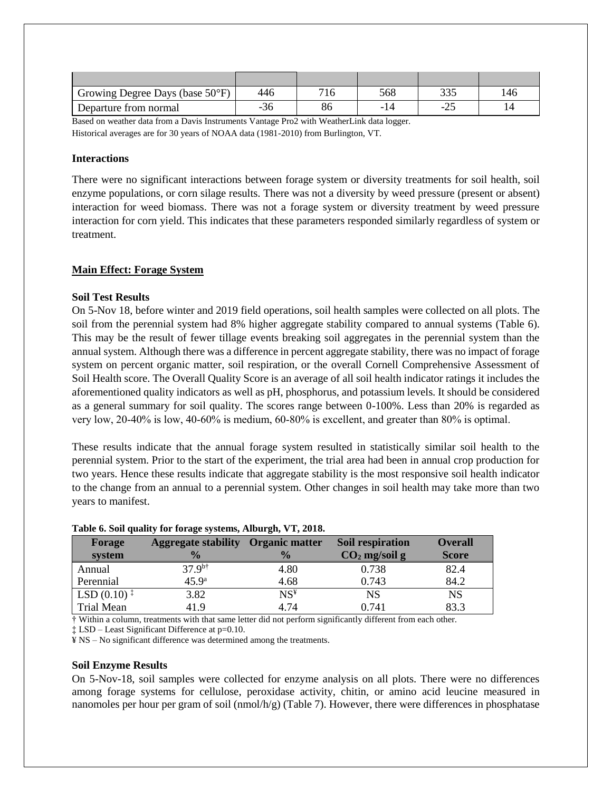| Growing Degree Days (base 50°F) | 446 |    | 568  | <u>ລລອ</u><br><u>JJJ</u> | .46 |
|---------------------------------|-----|----|------|--------------------------|-----|
| Departure from normal           | -20 | 86 | - 1. | ے کے –                   |     |

Based on weather data from a Davis Instruments Vantage Pro2 with WeatherLink data logger. Historical averages are for 30 years of NOAA data (1981-2010) from Burlington, VT.

#### **Interactions**

There were no significant interactions between forage system or diversity treatments for soil health, soil enzyme populations, or corn silage results. There was not a diversity by weed pressure (present or absent) interaction for weed biomass. There was not a forage system or diversity treatment by weed pressure interaction for corn yield. This indicates that these parameters responded similarly regardless of system or treatment.

## **Main Effect: Forage System**

#### **Soil Test Results**

On 5-Nov 18, before winter and 2019 field operations, soil health samples were collected on all plots. The soil from the perennial system had 8% higher aggregate stability compared to annual systems (Table 6). This may be the result of fewer tillage events breaking soil aggregates in the perennial system than the annual system. Although there was a difference in percent aggregate stability, there was no impact of forage system on percent organic matter, soil respiration, or the overall Cornell Comprehensive Assessment of Soil Health score. The Overall Quality Score is an average of all soil health indicator ratings it includes the aforementioned quality indicators as well as pH, phosphorus, and potassium levels. It should be considered as a general summary for soil quality. The scores range between 0-100%. Less than 20% is regarded as very low, 20‐40% is low, 40‐60% is medium, 60‐80% is excellent, and greater than 80% is optimal.

These results indicate that the annual forage system resulted in statistically similar soil health to the perennial system. Prior to the start of the experiment, the trial area had been in annual crop production for two years. Hence these results indicate that aggregate stability is the most responsive soil health indicator to the change from an annual to a perennial system. Other changes in soil health may take more than two years to manifest.

| Forage                                        | <b>Aggregate stability Organic matter</b> |                          | Soil respiration | <b>Overall</b> |
|-----------------------------------------------|-------------------------------------------|--------------------------|------------------|----------------|
| system                                        | $\frac{1}{2}$                             | $\frac{1}{2}$            | $CO2$ mg/soil g  | <b>Score</b>   |
| Annual                                        | $37.9^{b\dagger}$                         | 4.80                     | 0.738            | 82.4           |
| Perennial                                     | $45.9^{\rm a}$                            | 4.68                     | 0.743            | 84.2           |
| LSD $(0.10)$ <sup><math>\ddagger</math></sup> | 3.82                                      | $\mathrm{NS}^\mathtt{y}$ | <b>NS</b>        | NS             |
| <b>Trial Mean</b>                             | 41.9                                      | 4.74                     | 0.741            | 83.3           |

#### **Table 6. Soil quality for forage systems, Alburgh, VT, 2018.**

† Within a column, treatments with that same letter did not perform significantly different from each other.

‡ LSD – Least Significant Difference at p=0.10.

¥ NS – No significant difference was determined among the treatments.

#### **Soil Enzyme Results**

On 5-Nov-18, soil samples were collected for enzyme analysis on all plots. There were no differences among forage systems for cellulose, peroxidase activity, chitin, or amino acid leucine measured in nanomoles per hour per gram of soil (nmol/h/g) (Table 7). However, there were differences in phosphatase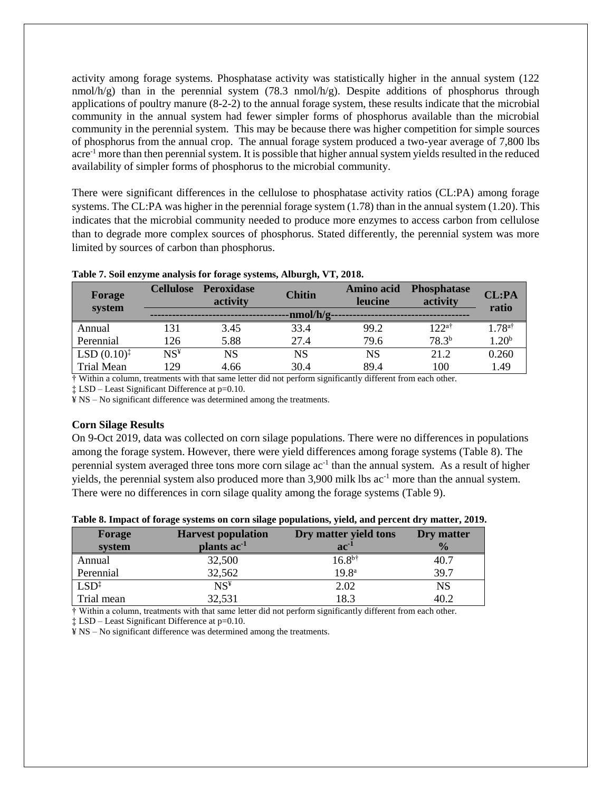activity among forage systems. Phosphatase activity was statistically higher in the annual system (122 nmol/h/g) than in the perennial system (78.3 nmol/h/g). Despite additions of phosphorus through applications of poultry manure (8-2-2) to the annual forage system, these results indicate that the microbial community in the annual system had fewer simpler forms of phosphorus available than the microbial community in the perennial system. This may be because there was higher competition for simple sources of phosphorus from the annual crop. The annual forage system produced a two-year average of 7,800 lbs acre-1 more than then perennial system. It is possible that higher annual system yields resulted in the reduced availability of simpler forms of phosphorus to the microbial community.

There were significant differences in the cellulose to phosphatase activity ratios (CL:PA) among forage systems. The CL:PA was higher in the perennial forage system  $(1.78)$  than in the annual system  $(1.20)$ . This indicates that the microbial community needed to produce more enzymes to access carbon from cellulose than to degrade more complex sources of phosphorus. Stated differently, the perennial system was more limited by sources of carbon than phosphorus.

| Forage<br>system        |                          | Cellulose Peroxidase<br>activity | <b>Chitin</b> | Amino acid<br><b>leucine</b> | <b>Phosphatase</b><br>activity | CL:PA<br>ratio |
|-------------------------|--------------------------|----------------------------------|---------------|------------------------------|--------------------------------|----------------|
|                         |                          |                                  | nmol/h/g      |                              |                                |                |
| Annual                  | 131                      | 3.45                             | 33.4          | 99.2                         | $122$ <sup>a†</sup>            | 1 78ª†         |
| Perennial               | 126                      | 5.88                             | 27.4          | 79.6                         | $78.3^{b}$                     | $1.20^{\rm b}$ |
| LSD $(0.10)^{\ddagger}$ | $\mathrm{NS}^\texttt{y}$ | NS                               | NS            | NS                           | 21.2                           | 0.260          |
| <b>Trial Mean</b>       | 129                      | 4.66                             | 30.4          | 89.4                         | 100                            | 1.49           |

#### **Table 7. Soil enzyme analysis for forage systems, Alburgh, VT, 2018.**

† Within a column, treatments with that same letter did not perform significantly different from each other.

‡ LSD – Least Significant Difference at p=0.10.

¥ NS – No significant difference was determined among the treatments.

#### **Corn Silage Results**

On 9-Oct 2019, data was collected on corn silage populations. There were no differences in populations among the forage system. However, there were yield differences among forage systems (Table 8). The perennial system averaged three tons more corn silage ac<sup>-1</sup> than the annual system. As a result of higher yields, the perennial system also produced more than 3,900 milk lbs ac<sup>-1</sup> more than the annual system. There were no differences in corn silage quality among the forage systems (Table 9).

|  |  | Table 8. Impact of forage systems on corn silage populations, yield, and percent dry matter, 2019. |  |  |  |
|--|--|----------------------------------------------------------------------------------------------------|--|--|--|
|  |  |                                                                                                    |  |  |  |

| Forage           | <b>Harvest population</b> | Dry matter yield tons | Dry matter    |
|------------------|---------------------------|-----------------------|---------------|
| system           | plants ac <sup>-1</sup>   | $ac^{-1}$             | $\frac{1}{2}$ |
| Annual           | 32,500                    | $16.8^{b\dagger}$     | 40.7          |
| Perennial        | 32,562                    | 19.8 <sup>a</sup>     | 39.7          |
| $LSD^{\ddagger}$ | $NS^{\frac{1}{2}}$        | 2.02                  | NS            |
| Trial mean       | 32,531                    | 18.3                  | 40.2          |

† Within a column, treatments with that same letter did not perform significantly different from each other.

‡ LSD – Least Significant Difference at p=0.10.

¥ NS – No significant difference was determined among the treatments.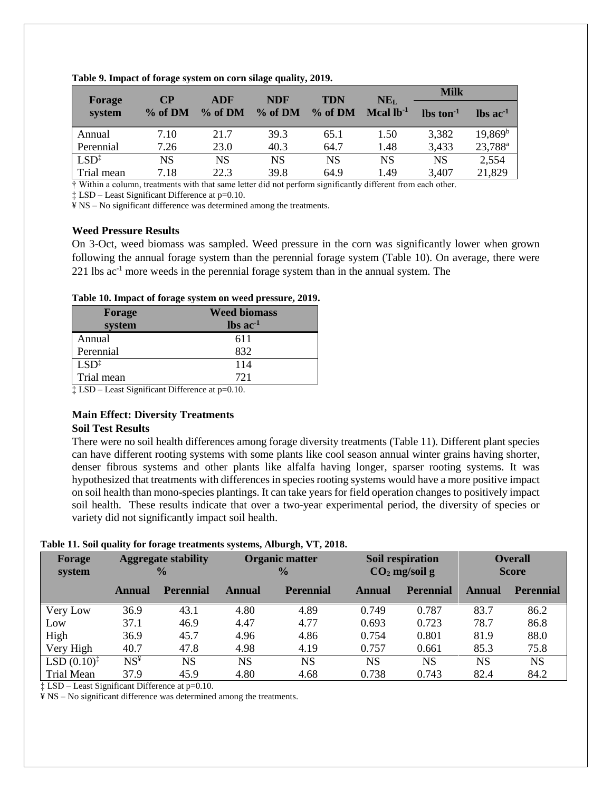|                  | $\bf CP$<br><b>ADF</b><br>Forage |           | <b>TDN</b><br><b>NDF</b> |         | NE <sub>L</sub> | <b>Milk</b>     |                        |  |
|------------------|----------------------------------|-----------|--------------------------|---------|-----------------|-----------------|------------------------|--|
| system           | $\%$ of DM                       | $%$ of DM | % of DM                  | % of DM | Mcal $lb-1$     | $\ln \tan^{-1}$ | $\ln$ ac <sup>-1</sup> |  |
| Annual           | 7.10                             | 21.7      | 39.3                     | 65.1    | 1.50            | 3,382           | $19,869^{\rm b}$       |  |
| Perennial        | 7.26                             | 23.0      | 40.3                     | 64.7    | 1.48            | 3,433           | 23,788 <sup>a</sup>    |  |
| $LSD^{\ddagger}$ | NS                               | <b>NS</b> | NS                       | NS      | <b>NS</b>       | <b>NS</b>       | 2,554                  |  |
| Trial mean       | 7.18                             | 22.3      | 39.8                     | 64.9    | 1.49            | 3,407           | 21,829                 |  |

**Table 9. Impact of forage system on corn silage quality, 2019.**

† Within a column, treatments with that same letter did not perform significantly different from each other.

‡ LSD – Least Significant Difference at p=0.10.

¥ NS – No significant difference was determined among the treatments.

#### **Weed Pressure Results**

On 3-Oct, weed biomass was sampled. Weed pressure in the corn was significantly lower when grown following the annual forage system than the perennial forage system (Table 10). On average, there were 221 lbs ac-1 more weeds in the perennial forage system than in the annual system. The

#### **Table 10. Impact of forage system on weed pressure, 2019.**

| Forage           | <b>Weed biomass</b>           |
|------------------|-------------------------------|
| system           | $\text{lbs}$ ac <sup>-1</sup> |
| Annual           | 611                           |
| Perennial        | 832                           |
| $LSD^{\ddagger}$ | 114                           |
| Trial mean       | 721                           |

‡ LSD – Least Significant Difference at p=0.10.

## **Main Effect: Diversity Treatments**

## **Soil Test Results**

There were no soil health differences among forage diversity treatments (Table 11). Different plant species can have different rooting systems with some plants like cool season annual winter grains having shorter, denser fibrous systems and other plants like alfalfa having longer, sparser rooting systems. It was hypothesized that treatments with differences in species rooting systems would have a more positive impact on soil health than mono-species plantings. It can take years for field operation changes to positively impact soil health. These results indicate that over a two-year experimental period, the diversity of species or variety did not significantly impact soil health.

#### **Table 11. Soil quality for forage treatments systems, Alburgh, VT, 2018.**

| Forage<br>system        |        | <b>Aggregate stability</b><br>$\frac{0}{0}$ | <b>Organic matter</b><br>$\frac{0}{0}$ |                  | Soil respiration<br>$CO2$ mg/soil g |                  | <b>Overall</b><br><b>Score</b> |                  |
|-------------------------|--------|---------------------------------------------|----------------------------------------|------------------|-------------------------------------|------------------|--------------------------------|------------------|
|                         | Annual | <b>Perennial</b>                            | Annual                                 | <b>Perennial</b> | Annual                              | <b>Perennial</b> | Annual                         | <b>Perennial</b> |
| Very Low                | 36.9   | 43.1                                        | 4.80                                   | 4.89             | 0.749                               | 0.787            | 83.7                           | 86.2             |
| Low                     | 37.1   | 46.9                                        | 4.47                                   | 4.77             | 0.693                               | 0.723            | 78.7                           | 86.8             |
| High                    | 36.9   | 45.7                                        | 4.96                                   | 4.86             | 0.754                               | 0.801            | 81.9                           | 88.0             |
| Very High               | 40.7   | 47.8                                        | 4.98                                   | 4.19             | 0.757                               | 0.661            | 85.3                           | 75.8             |
| $LSD (0.10)^{\ddagger}$ | $NS^*$ | NS                                          | <b>NS</b>                              | <b>NS</b>        | NS                                  | <b>NS</b>        | <b>NS</b>                      | <b>NS</b>        |
| <b>Trial Mean</b>       | 37.9   | 45.9                                        | 4.80                                   | 4.68             | 0.738                               | 0.743            | 82.4                           | 84.2             |

‡ LSD – Least Significant Difference at p=0.10.

¥ NS – No significant difference was determined among the treatments.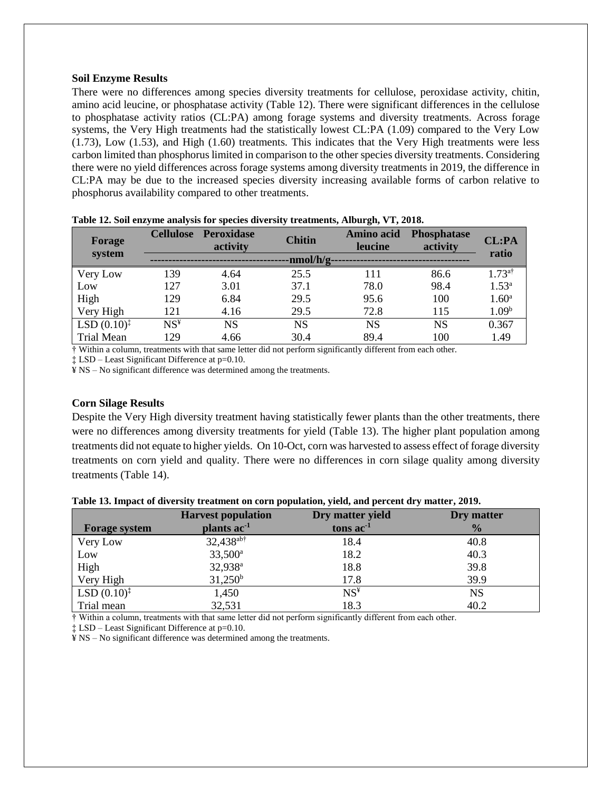#### **Soil Enzyme Results**

There were no differences among species diversity treatments for cellulose, peroxidase activity, chitin, amino acid leucine, or phosphatase activity (Table 12). There were significant differences in the cellulose to phosphatase activity ratios (CL:PA) among forage systems and diversity treatments. Across forage systems, the Very High treatments had the statistically lowest CL:PA (1.09) compared to the Very Low (1.73), Low (1.53), and High (1.60) treatments. This indicates that the Very High treatments were less carbon limited than phosphorus limited in comparison to the other species diversity treatments. Considering there were no yield differences across forage systems among diversity treatments in 2019, the difference in CL:PA may be due to the increased species diversity increasing available forms of carbon relative to phosphorus availability compared to other treatments.

| Forage<br>system        | <b>Cellulose</b>   | <b>Peroxidase</b><br>activity | <b>Chitin</b> | Amino acid<br>leucine | <b>Phosphatase</b><br>activity | CL:PA<br>ratio    |
|-------------------------|--------------------|-------------------------------|---------------|-----------------------|--------------------------------|-------------------|
|                         |                    |                               | -nmol/h/g-    |                       |                                |                   |
| Very Low                | 139                | 4.64                          | 25.5          | 111                   | 86.6                           | $1.73^{a\dagger}$ |
| Low                     | 127                | 3.01                          | 37.1          | 78.0                  | 98.4                           | $1.53^{a}$        |
| High                    | 129                | 6.84                          | 29.5          | 95.6                  | 100                            | $1.60^{\rm a}$    |
| Very High               | 121                | 4.16                          | 29.5          | 72.8                  | 115                            | 1.09 <sup>b</sup> |
| $LSD (0.10)^{\ddagger}$ | $NS^{\frac{1}{2}}$ | <b>NS</b>                     | <b>NS</b>     | NS                    | NS                             | 0.367             |
| <b>Trial Mean</b>       | 129                | 4.66                          | 30.4          | 89.4                  | 100                            | 1.49              |

|  |  |  |  |  | Table 12. Soil enzyme analysis for species diversity treatments, Alburgh, VT, 2018. |
|--|--|--|--|--|-------------------------------------------------------------------------------------|
|--|--|--|--|--|-------------------------------------------------------------------------------------|

† Within a column, treatments with that same letter did not perform significantly different from each other.

‡ LSD – Least Significant Difference at p=0.10.

¥ NS – No significant difference was determined among the treatments.

#### **Corn Silage Results**

Despite the Very High diversity treatment having statistically fewer plants than the other treatments, there were no differences among diversity treatments for yield (Table 13). The higher plant population among treatments did not equate to higher yields. On 10-Oct, corn was harvested to assess effect of forage diversity treatments on corn yield and quality. There were no differences in corn silage quality among diversity treatments (Table 14).

|  |  | Table 13. Impact of diversity treatment on corn population, yield, and percent dry matter, 2019. |  |  |  |  |
|--|--|--------------------------------------------------------------------------------------------------|--|--|--|--|
|  |  |                                                                                                  |  |  |  |  |

|                         | <b>Harvest population</b> | Dry matter yield | Dry matter    |
|-------------------------|---------------------------|------------------|---------------|
| <b>Forage system</b>    | plants $ac^{-1}$          | tons $ac-1$      | $\frac{1}{2}$ |
| Very Low                | 32,438 <sup>ab†</sup>     | 18.4             | 40.8          |
| Low                     | $33,500^{\rm a}$          | 18.2             | 40.3          |
| High                    | 32,938 <sup>a</sup>       | 18.8             | 39.8          |
| Very High               | $31,250^{\rm b}$          | 17.8             | 39.9          |
| $LSD (0.10)^{\ddagger}$ | 1,450                     | $NS^*$           | <b>NS</b>     |
| Trial mean              | 32,531                    | 18.3             | 40.2          |

† Within a column, treatments with that same letter did not perform significantly different from each other.

‡ LSD – Least Significant Difference at p=0.10.

¥ NS – No significant difference was determined among the treatments.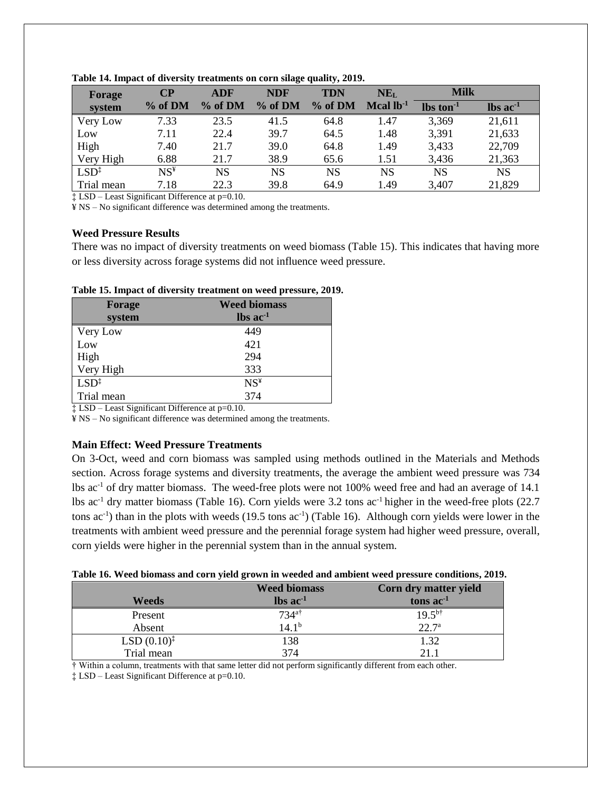| Forage           | CР                       | <b>ADF</b> | <b>NDF</b> | $\cdot$<br><b>TDN</b> | NE <sub>L</sub>    | <b>Milk</b> |                                  |
|------------------|--------------------------|------------|------------|-----------------------|--------------------|-------------|----------------------------------|
| system           | % of DM                  | % of DM    | % of DM    | % of DM               | $\rm Mcal 1b^{-1}$ | $\ln 1$     | $\mathbf{lbs}\ \mathbf{ac}^{-1}$ |
| Very Low         | 7.33                     | 23.5       | 41.5       | 64.8                  | 1.47               | 3,369       | 21,611                           |
| Low              | 7.11                     | 22.4       | 39.7       | 64.5                  | 1.48               | 3,391       | 21,633                           |
| High             | 7.40                     | 21.7       | 39.0       | 64.8                  | 1.49               | 3,433       | 22,709                           |
| Very High        | 6.88                     | 21.7       | 38.9       | 65.6                  | 1.51               | 3,436       | 21,363                           |
| $LSD^{\ddagger}$ | $\mathrm{NS}^\texttt{y}$ | NS         | <b>NS</b>  | <b>NS</b>             | <b>NS</b>          | NS          | <b>NS</b>                        |
| Trial mean       | 7.18                     | 22.3       | 39.8       | 64.9                  | 1.49               | 3,407       | 21,829                           |

**Table 14. Impact of diversity treatments on corn silage quality, 2019.**

‡ LSD – Least Significant Difference at p=0.10.

¥ NS – No significant difference was determined among the treatments.

## **Weed Pressure Results**

There was no impact of diversity treatments on weed biomass (Table 15). This indicates that having more or less diversity across forage systems did not influence weed pressure.

| Forage<br>system | <b>Weed biomass</b><br>$\text{lbs}$ ac <sup>-1</sup> |
|------------------|------------------------------------------------------|
|                  |                                                      |
| Very Low         | 449                                                  |
| Low              | 421                                                  |
| High             | 294                                                  |
| Very High        | 333                                                  |
| $LSD^{\ddagger}$ | $NS^*$                                               |
| Trial mean       | 374                                                  |

**Table 15. Impact of diversity treatment on weed pressure, 2019.**

‡ LSD – Least Significant Difference at p=0.10.

¥ NS – No significant difference was determined among the treatments.

## **Main Effect: Weed Pressure Treatments**

On 3-Oct, weed and corn biomass was sampled using methods outlined in the Materials and Methods section. Across forage systems and diversity treatments, the average the ambient weed pressure was 734 lbs ac-1 of dry matter biomass. The weed-free plots were not 100% weed free and had an average of 14.1 lbs ac-1 dry matter biomass (Table 16). Corn yields were 3.2 tons ac-1 higher in the weed-free plots (22.7 tons ac<sup>-1</sup>) than in the plots with weeds (19.5 tons ac<sup>-1</sup>) (Table 16). Although corn yields were lower in the treatments with ambient weed pressure and the perennial forage system had higher weed pressure, overall, corn yields were higher in the perennial system than in the annual system.

|  |  | Table 16. Weed biomass and corn yield grown in weeded and ambient weed pressure conditions, 2019. |  |
|--|--|---------------------------------------------------------------------------------------------------|--|
|  |  |                                                                                                   |  |

|                         | <b>Weed biomass</b>           | Corn dry matter yield |
|-------------------------|-------------------------------|-----------------------|
| Weeds                   | $\text{lbs}$ ac <sup>-1</sup> | tons $ac^{-1}$        |
| Present                 | $734$ <sup>a†</sup>           | $19.5^{b\dagger}$     |
| Absent                  | $14.1^{b}$                    | $22.7^{\rm a}$        |
| $LSD (0.10)^{\ddagger}$ | 138                           | 1.32                  |
| Trial mean              | 374                           | 21.1                  |

† Within a column, treatments with that same letter did not perform significantly different from each other.

‡ LSD – Least Significant Difference at p=0.10.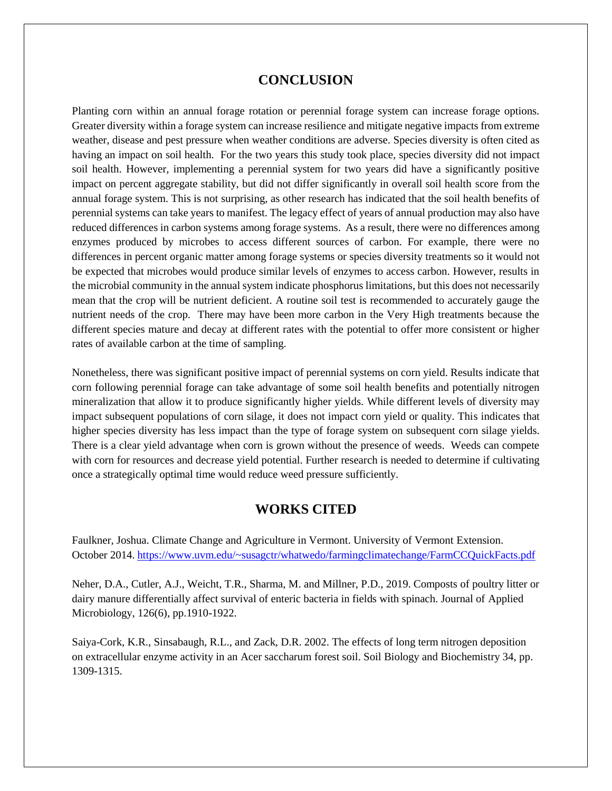# **CONCLUSION**

Planting corn within an annual forage rotation or perennial forage system can increase forage options. Greater diversity within a forage system can increase resilience and mitigate negative impacts from extreme weather, disease and pest pressure when weather conditions are adverse. Species diversity is often cited as having an impact on soil health. For the two years this study took place, species diversity did not impact soil health. However, implementing a perennial system for two years did have a significantly positive impact on percent aggregate stability, but did not differ significantly in overall soil health score from the annual forage system. This is not surprising, as other research has indicated that the soil health benefits of perennial systems can take years to manifest. The legacy effect of years of annual production may also have reduced differences in carbon systems among forage systems. As a result, there were no differences among enzymes produced by microbes to access different sources of carbon. For example, there were no differences in percent organic matter among forage systems or species diversity treatments so it would not be expected that microbes would produce similar levels of enzymes to access carbon. However, results in the microbial community in the annual system indicate phosphorus limitations, but this does not necessarily mean that the crop will be nutrient deficient. A routine soil test is recommended to accurately gauge the nutrient needs of the crop. There may have been more carbon in the Very High treatments because the different species mature and decay at different rates with the potential to offer more consistent or higher rates of available carbon at the time of sampling.

Nonetheless, there was significant positive impact of perennial systems on corn yield. Results indicate that corn following perennial forage can take advantage of some soil health benefits and potentially nitrogen mineralization that allow it to produce significantly higher yields. While different levels of diversity may impact subsequent populations of corn silage, it does not impact corn yield or quality. This indicates that higher species diversity has less impact than the type of forage system on subsequent corn silage yields. There is a clear yield advantage when corn is grown without the presence of weeds. Weeds can compete with corn for resources and decrease yield potential. Further research is needed to determine if cultivating once a strategically optimal time would reduce weed pressure sufficiently.

# **WORKS CITED**

Faulkner, Joshua. Climate Change and Agriculture in Vermont. University of Vermont Extension. October 2014. <https://www.uvm.edu/~susagctr/whatwedo/farmingclimatechange/FarmCCQuickFacts.pdf>

Neher, D.A., Cutler, A.J., Weicht, T.R., Sharma, M. and Millner, P.D., 2019. Composts of poultry litter or dairy manure differentially affect survival of enteric bacteria in fields with spinach. Journal of Applied Microbiology, 126(6), pp.1910-1922.

Saiya-Cork, K.R., Sinsabaugh, R.L., and Zack, D.R. 2002. The effects of long term nitrogen deposition on extracellular enzyme activity in an Acer saccharum forest soil. Soil Biology and Biochemistry 34, pp. 1309-1315.